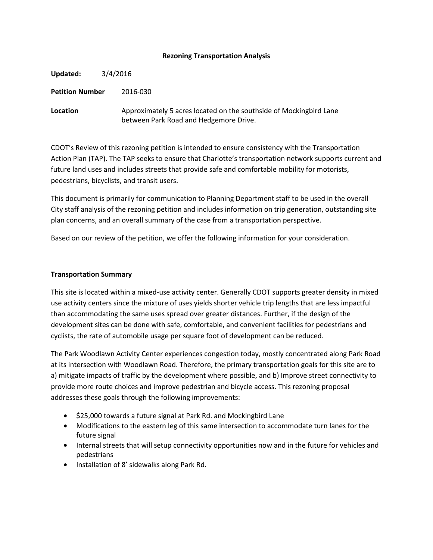### **Rezoning Transportation Analysis**

| Updated:               | 3/4/2016 |                                                                                                              |  |
|------------------------|----------|--------------------------------------------------------------------------------------------------------------|--|
| <b>Petition Number</b> |          | 2016-030                                                                                                     |  |
| Location               |          | Approximately 5 acres located on the southside of Mockingbird Lane<br>between Park Road and Hedgemore Drive. |  |

CDOT's Review of this rezoning petition is intended to ensure consistency with the Transportation Action Plan (TAP). The TAP seeks to ensure that Charlotte's transportation network supports current and future land uses and includes streets that provide safe and comfortable mobility for motorists, pedestrians, bicyclists, and transit users.

This document is primarily for communication to Planning Department staff to be used in the overall City staff analysis of the rezoning petition and includes information on trip generation, outstanding site plan concerns, and an overall summary of the case from a transportation perspective.

Based on our review of the petition, we offer the following information for your consideration.

#### **Transportation Summary**

This site is located within a mixed-use activity center. Generally CDOT supports greater density in mixed use activity centers since the mixture of uses yields shorter vehicle trip lengths that are less impactful than accommodating the same uses spread over greater distances. Further, if the design of the development sites can be done with safe, comfortable, and convenient facilities for pedestrians and cyclists, the rate of automobile usage per square foot of development can be reduced.

The Park Woodlawn Activity Center experiences congestion today, mostly concentrated along Park Road at its intersection with Woodlawn Road. Therefore, the primary transportation goals for this site are to a) mitigate impacts of traffic by the development where possible, and b) Improve street connectivity to provide more route choices and improve pedestrian and bicycle access. This rezoning proposal addresses these goals through the following improvements:

- \$25,000 towards a future signal at Park Rd. and Mockingbird Lane
- Modifications to the eastern leg of this same intersection to accommodate turn lanes for the future signal
- Internal streets that will setup connectivity opportunities now and in the future for vehicles and pedestrians
- Installation of 8' sidewalks along Park Rd.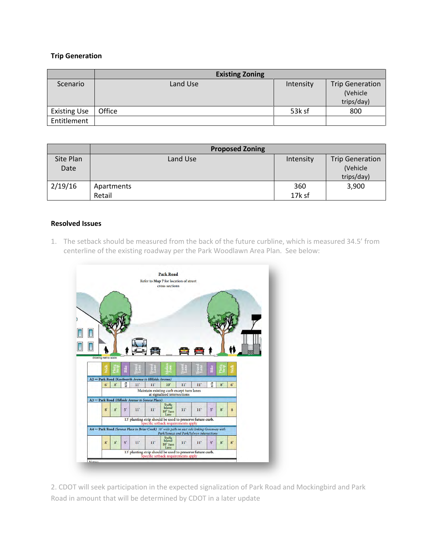## **Trip Generation**

|                     | <b>Existing Zoning</b> |           |                        |
|---------------------|------------------------|-----------|------------------------|
| Scenario            | Land Use               | Intensity | <b>Trip Generation</b> |
|                     |                        |           | (Vehicle               |
|                     |                        |           | trips/day)             |
| <b>Existing Use</b> | Office                 | 53k sf    | 800                    |
| Entitlement         |                        |           |                        |

|                   | <b>Proposed Zoning</b> |           |                                                  |
|-------------------|------------------------|-----------|--------------------------------------------------|
| Site Plan<br>Date | Land Use               | Intensity | <b>Trip Generation</b><br>(Vehicle<br>trips/day) |
| 2/19/16           | Apartments             | 360       | 3,900                                            |
|                   | Retail                 | 17k sf    |                                                  |

# **Resolved Issues**

1. The setback should be measured from the back of the future curbline, which is measured 34.5' from centerline of the existing roadway per the Park Woodlawn Area Plan. See below:



2. CDOT will seek participation in the expected signalization of Park Road and Mockingbird and Park Road in amount that will be determined by CDOT in a later update